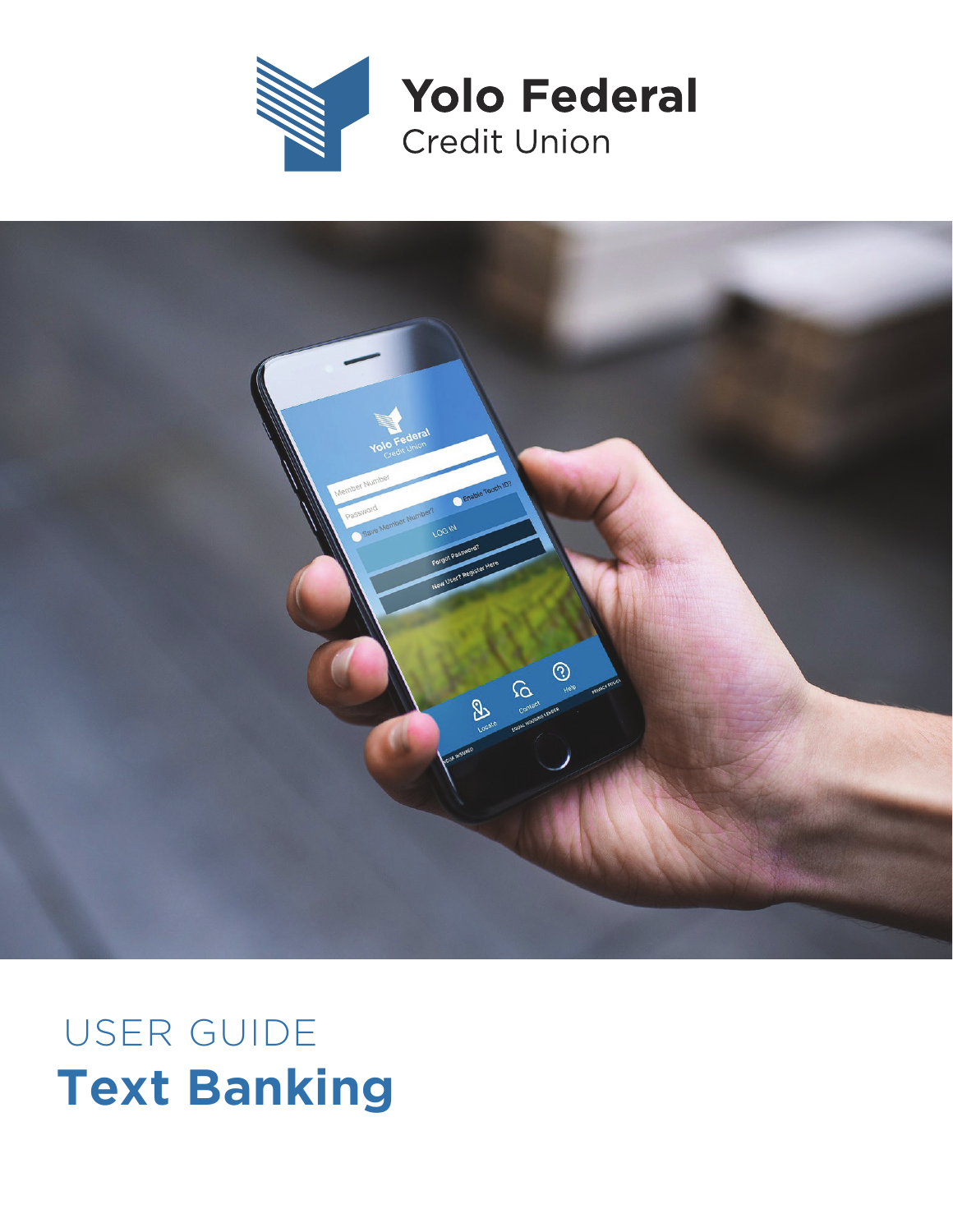



## **Text Banking** USER GUIDE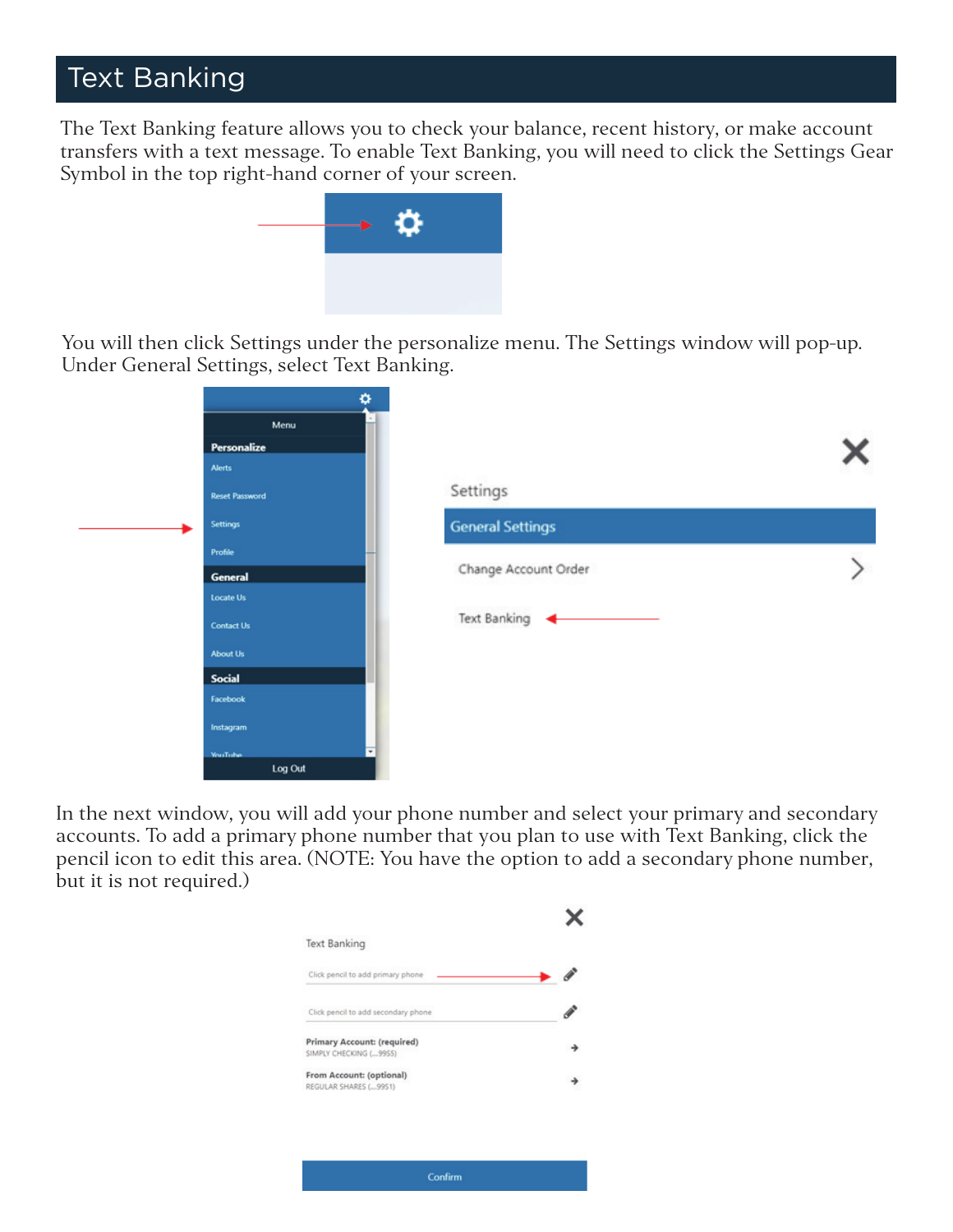## Text Banking

The Text Banking feature allows you to check your balance, recent history, or make account transfers with a text message. To enable Text Banking, you will need to click the Settings Gear Symbol in the top right-hand corner of your screen.



You will then click Settings under the personalize menu. The Settings window will pop-up. Under General Settings, select Text Banking.

| ۰                     | $\sim$                  |  |
|-----------------------|-------------------------|--|
| Menu                  |                         |  |
| Personalize           |                         |  |
| <b>Alerts</b>         |                         |  |
| <b>Reset Password</b> | Settings                |  |
| <b>Settings</b>       | <b>General Settings</b> |  |
| Profile               |                         |  |
| <b>General</b>        | Change Account Order    |  |
| <b>Locate Us</b>      |                         |  |
| <b>Contact Us</b>     | <b>Text Banking</b>     |  |
| <b>About Us</b>       |                         |  |
| <b>Social</b>         |                         |  |
| Facebook              |                         |  |
| Instagram             |                         |  |
| <b>YouTube</b>        | $\overline{ }$          |  |
| Log Out               |                         |  |

In the next window, you will add your phone number and select your primary and secondary accounts. To add a primary phone number that you plan to use with Text Banking, click the pencil icon to edit this area. (NOTE: You have the option to add a secondary phone number, but it is not required.)

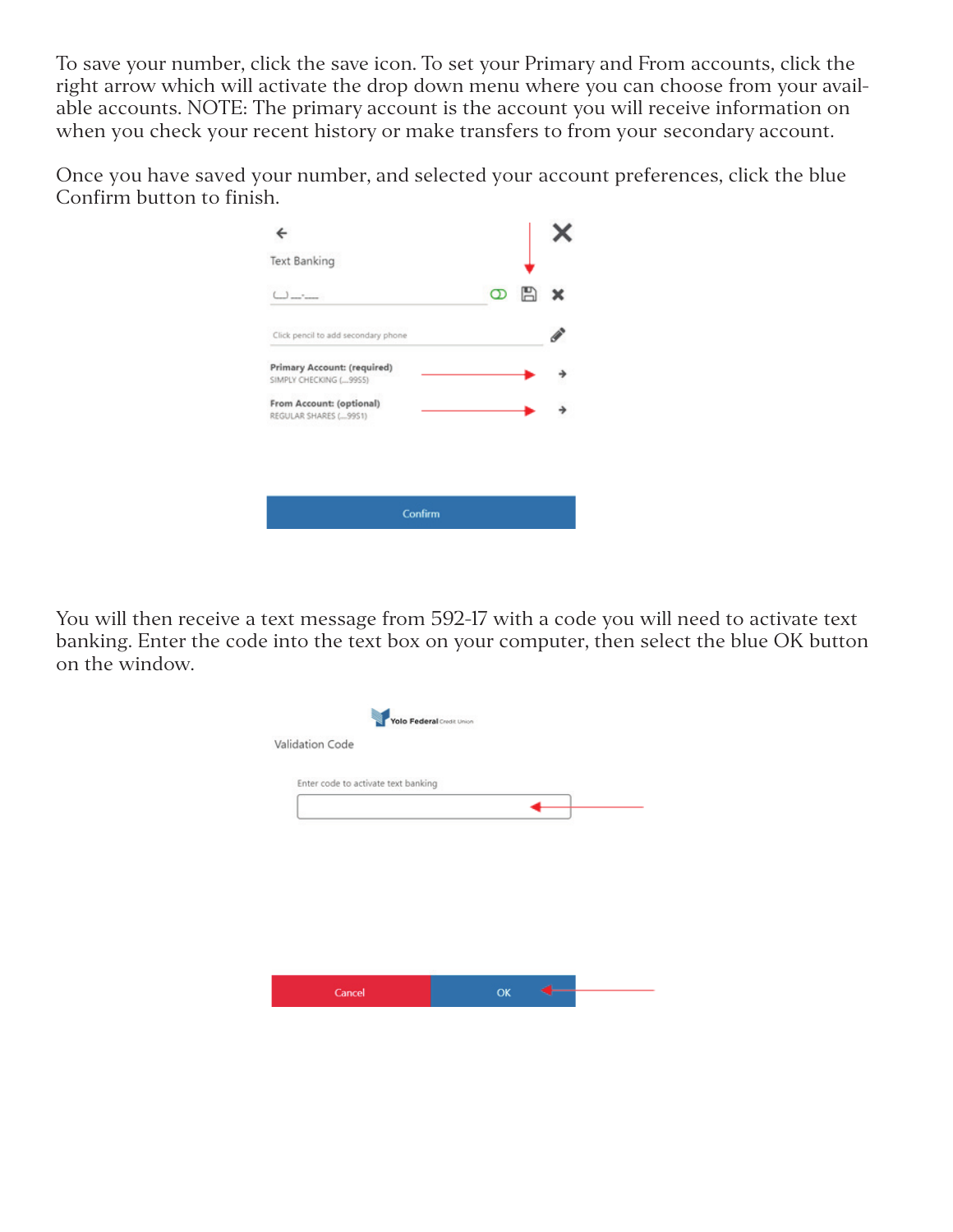To save your number, click the save icon. To set your Primary and From accounts, click the right arrow which will activate the drop down menu where you can choose from your available accounts. NOTE: The primary account is the account you will receive information on when you check your recent history or make transfers to from your secondary account.

Once you have saved your number, and selected your account preferences, click the blue Confirm button to finish.

| Text Banking                                           |               |  |
|--------------------------------------------------------|---------------|--|
| $\mathcal{L}$                                          | 冎<br>$\infty$ |  |
| Click pencil to add secondary phone                    |               |  |
| Primary Account: (required)<br>SIMPLY CHECKING ( 9955) |               |  |
| From Account: (optional)<br>REGULAR SHARES (99S1)      |               |  |
|                                                        |               |  |
| Confirm                                                |               |  |
|                                                        |               |  |

You will then receive a text message from 592-17 with a code you will need to activate text banking. Enter the code into the text box on your computer, then select the blue OK button on the window.

|                                     | Yolo Federal Credit Union |    |  |
|-------------------------------------|---------------------------|----|--|
| Validation Code                     |                           |    |  |
| Enter code to activate text banking |                           |    |  |
|                                     |                           |    |  |
|                                     |                           |    |  |
|                                     |                           |    |  |
|                                     |                           |    |  |
|                                     |                           |    |  |
|                                     |                           |    |  |
| Cancel                              |                           | OK |  |
|                                     |                           |    |  |